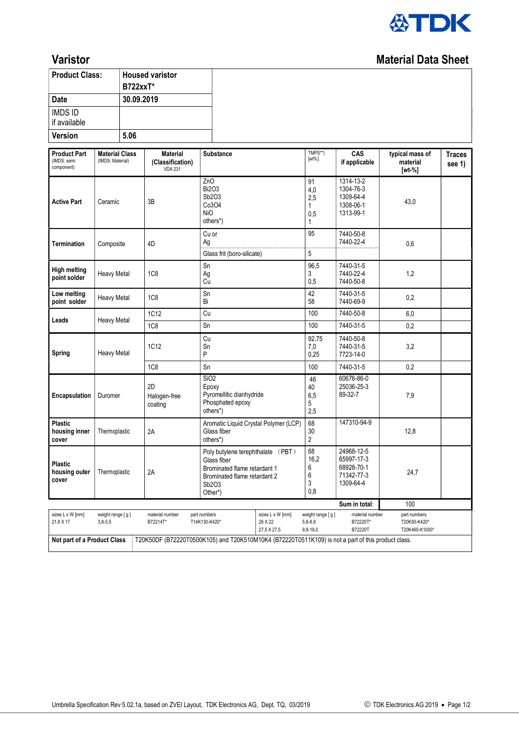

## Varistor Material Data Sheet

| <b>Product Class:</b>                                                                                                             |                                           | <b>B722xxT*</b> | <b>Housed varistor</b>                                |                                                                 |                                                                                                   |                                               |                                                                   |                                                |                         |
|-----------------------------------------------------------------------------------------------------------------------------------|-------------------------------------------|-----------------|-------------------------------------------------------|-----------------------------------------------------------------|---------------------------------------------------------------------------------------------------|-----------------------------------------------|-------------------------------------------------------------------|------------------------------------------------|-------------------------|
| Date                                                                                                                              |                                           | 30.09.2019      |                                                       |                                                                 |                                                                                                   |                                               |                                                                   |                                                |                         |
| <b>IMDS ID</b><br>if available                                                                                                    |                                           |                 |                                                       |                                                                 |                                                                                                   |                                               |                                                                   |                                                |                         |
| Version<br>5.06                                                                                                                   |                                           |                 |                                                       |                                                                 |                                                                                                   |                                               |                                                                   |                                                |                         |
| <b>Product Part</b><br>(IMDS: semi<br>component)                                                                                  | <b>Material Class</b><br>(IMDS: Material) |                 | <b>Material</b><br>(Classification)<br><b>VDA 231</b> | Substance                                                       |                                                                                                   | TMPS**)<br>$[wt\%]$                           | CAS<br>if applicable                                              | typical mass of<br>material<br>$[wt-%]$        | <b>Traces</b><br>see 1) |
| <b>Active Part</b>                                                                                                                | Ceramic                                   |                 | 3B                                                    | ZnO<br><b>Bi2O3</b><br>Sb2O3<br>Co3O4<br><b>NiO</b><br>others*) |                                                                                                   | 91<br>4,0<br>2,5<br>1<br>0,5<br>1             | 1314-13-2<br>1304-76-3<br>1309-64-4<br>1308-06-1<br>1313-99-1     | 43,0                                           |                         |
| <b>Termination</b>                                                                                                                | Composite                                 |                 | 4D                                                    | Cu or<br>Ag<br>Glass frit (boro-silicate)                       |                                                                                                   | 95<br>$\sqrt{5}$                              | 7440-50-8<br>7440-22-4                                            | 0,6                                            |                         |
| <b>High melting</b><br>point solder                                                                                               | <b>Heavy Metal</b>                        |                 | 1C <sub>8</sub>                                       | Sn<br>Ag<br>Cu                                                  |                                                                                                   | 96,5<br>3<br>0,5                              | 7440-31-5<br>7440-22-4<br>7440-50-8                               | 1,2                                            |                         |
| Low melting<br>point solder                                                                                                       | Heavy Metal                               |                 | 1C <sub>8</sub>                                       | Sn<br>Bi                                                        |                                                                                                   | 42<br>58                                      | 7440-31-5<br>7440-69-9                                            | 0,2                                            |                         |
| Leads                                                                                                                             | <b>Heavy Metal</b>                        |                 | 1C12                                                  | Cu                                                              |                                                                                                   | 100                                           | 7440-50-8                                                         | 6,0                                            |                         |
|                                                                                                                                   |                                           |                 | 1C8                                                   | Sn                                                              |                                                                                                   | 100                                           | 7440-31-5                                                         | 0,2                                            |                         |
| <b>Spring</b>                                                                                                                     | <b>Heavy Metal</b>                        |                 | 1C12                                                  | Cu<br>Sn<br>P                                                   |                                                                                                   | 92,75<br>7,0<br>0,25                          | 7440-50-8<br>7440-31-5<br>7723-14-0                               | 3,2                                            |                         |
|                                                                                                                                   |                                           |                 | <b>1C8</b>                                            | Sn                                                              |                                                                                                   | 100                                           | 7440-31-5                                                         | 0,2                                            |                         |
| Encapsulation                                                                                                                     | Duromer                                   |                 | 2D<br>Halogen-free<br>coating                         | SiO <sub>2</sub><br>Epoxy<br>Phosphated epoxy<br>others*)       | Pyromellitic dianhydride                                                                          |                                               | 60676-86-0<br>25036-25-3<br>89-32-7                               | 7,9                                            |                         |
| <b>Plastic</b><br>housing inner<br>cover                                                                                          | Thermoplastic                             |                 | 2A                                                    | Glass fiber<br>others*)                                         | Aromatic Liquid Crystal Polymer (LCP)                                                             |                                               | 147310-94-9                                                       | 12,8                                           |                         |
| <b>Plastic</b><br>housing outer<br>cover                                                                                          | Thermoplastic                             |                 | 2A                                                    | Glass fiber<br>Sb2O3<br>Other*)                                 | Poly butylene terephthalate (PBT)<br>Brominated flame retardant 1<br>Brominated flame retardant 2 |                                               | 24968-12-5<br>65997-17-3<br>68928-70-1<br>71342-77-3<br>1309-64-4 | 24,7                                           |                         |
|                                                                                                                                   |                                           |                 |                                                       |                                                                 |                                                                                                   |                                               | Sum in total:                                                     | 100                                            |                         |
| sizes L x W [mm]<br>21,6 X 17                                                                                                     | weight range [g]<br>$3,8-5,5$             |                 | material number<br>B72214T*                           | part numbers<br>T14K130-K420*                                   | sizes L x W [mm]<br>26 X 22<br>27,5 X 27,5                                                        | weight range [g]<br>$5,8 - 8.8$<br>$9,9-18,0$ | material number<br>B72220T*<br>B72220T                            | part numbers<br>T20K50-K420*<br>T20K460-K1000* |                         |
| T20K50DF (B72220T0500K105) and T20K510M10K4 (B72220T0511K109) is not a part of this product class.<br>Not part of a Product Class |                                           |                 |                                                       |                                                                 |                                                                                                   |                                               |                                                                   |                                                |                         |